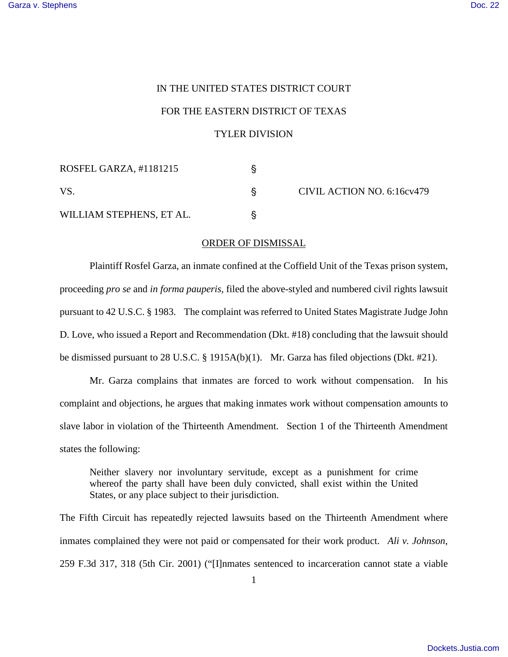## IN THE UNITED STATES DISTRICT COURT

## FOR THE EASTERN DISTRICT OF TEXAS

## TYLER DIVISION

| ROSFEL GARZA, #1181215   |  | CIVIL ACTION NO. 6:16cv479 |
|--------------------------|--|----------------------------|
| VS.                      |  |                            |
| WILLIAM STEPHENS, ET AL. |  |                            |

## ORDER OF DISMISSAL

Plaintiff Rosfel Garza, an inmate confined at the Coffield Unit of the Texas prison system, proceeding *pro se* and *in forma pauperis*, filed the above-styled and numbered civil rights lawsuit pursuant to 42 U.S.C. § 1983. The complaint was referred to United States Magistrate Judge John D. Love, who issued a Report and Recommendation (Dkt. #18) concluding that the lawsuit should be dismissed pursuant to 28 U.S.C. § 1915A(b)(1). Mr. Garza has filed objections (Dkt. #21).

Mr. Garza complains that inmates are forced to work without compensation. In his complaint and objections, he argues that making inmates work without compensation amounts to slave labor in violation of the Thirteenth Amendment. Section 1 of the Thirteenth Amendment states the following:

Neither slavery nor involuntary servitude, except as a punishment for crime whereof the party shall have been duly convicted, shall exist within the United States, or any place subject to their jurisdiction.

The Fifth Circuit has repeatedly rejected lawsuits based on the Thirteenth Amendment where inmates complained they were not paid or compensated for their work product. *Ali v. Johnson*, 259 F.3d 317, 318 (5th Cir. 2001) ("[I]nmates sentenced to incarceration cannot state a viable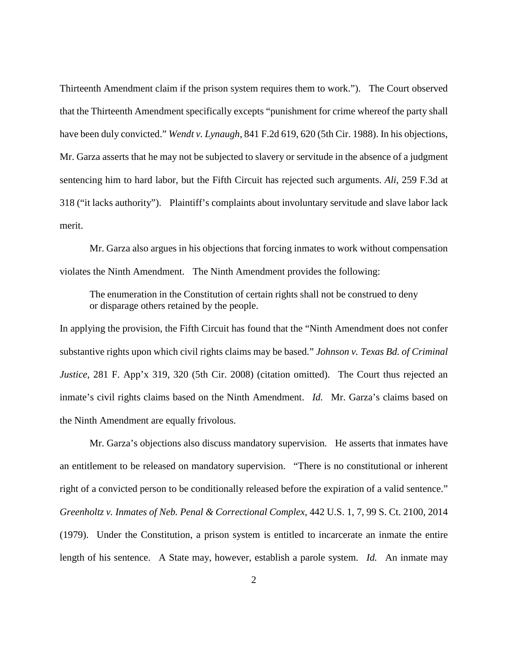Thirteenth Amendment claim if the prison system requires them to work."). The Court observed that the Thirteenth Amendment specifically excepts "punishment for crime whereof the party shall have been duly convicted." *Wendt v. Lynaugh*, 841 F.2d 619, 620 (5th Cir. 1988). In his objections, Mr. Garza asserts that he may not be subjected to slavery or servitude in the absence of a judgment sentencing him to hard labor, but the Fifth Circuit has rejected such arguments. *Ali*, 259 F.3d at 318 ("it lacks authority"). Plaintiff's complaints about involuntary servitude and slave labor lack merit.

Mr. Garza also argues in his objections that forcing inmates to work without compensation violates the Ninth Amendment. The Ninth Amendment provides the following:

The enumeration in the Constitution of certain rights shall not be construed to deny or disparage others retained by the people.

In applying the provision, the Fifth Circuit has found that the "Ninth Amendment does not confer substantive rights upon which civil rights claims may be based." *Johnson v. Texas Bd. of Criminal Justice*, 281 F. App'x 319, 320 (5th Cir. 2008) (citation omitted). The Court thus rejected an inmate's civil rights claims based on the Ninth Amendment. *Id.* Mr. Garza's claims based on the Ninth Amendment are equally frivolous.

Mr. Garza's objections also discuss mandatory supervision. He asserts that inmates have an entitlement to be released on mandatory supervision. "There is no constitutional or inherent right of a convicted person to be conditionally released before the expiration of a valid sentence." *Greenholtz v. Inmates of Neb. Penal & Correctional Complex*, 442 U.S. 1, 7, 99 S. Ct. 2100, 2014 (1979). Under the Constitution, a prison system is entitled to incarcerate an inmate the entire length of his sentence. A State may, however, establish a parole system. *Id.* An inmate may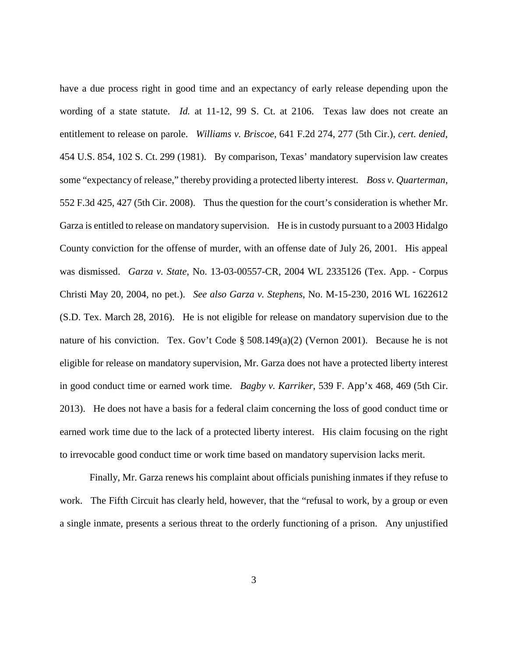have a due process right in good time and an expectancy of early release depending upon the wording of a state statute. *Id.* at 11-12, 99 S. Ct. at 2106. Texas law does not create an entitlement to release on parole. *Williams v. Briscoe*, 641 F.2d 274, 277 (5th Cir.), *cert. denied*, 454 U.S. 854, 102 S. Ct. 299 (1981). By comparison, Texas' mandatory supervision law creates some "expectancy of release," thereby providing a protected liberty interest. *Boss v. Quarterman*, 552 F.3d 425, 427 (5th Cir. 2008). Thus the question for the court's consideration is whether Mr. Garza is entitled to release on mandatory supervision. He is in custody pursuant to a 2003 Hidalgo County conviction for the offense of murder, with an offense date of July 26, 2001. His appeal was dismissed. *Garza v. State*, No. 13-03-00557-CR, 2004 WL 2335126 (Tex. App. - Corpus Christi May 20, 2004, no pet.). *See also Garza v. Stephens*, No. M-15-230, 2016 WL 1622612 (S.D. Tex. March 28, 2016). He is not eligible for release on mandatory supervision due to the nature of his conviction. Tex. Gov't Code § 508.149(a)(2) (Vernon 2001). Because he is not eligible for release on mandatory supervision, Mr. Garza does not have a protected liberty interest in good conduct time or earned work time. *Bagby v. Karriker*, 539 F. App'x 468, 469 (5th Cir. 2013). He does not have a basis for a federal claim concerning the loss of good conduct time or earned work time due to the lack of a protected liberty interest. His claim focusing on the right to irrevocable good conduct time or work time based on mandatory supervision lacks merit.

Finally, Mr. Garza renews his complaint about officials punishing inmates if they refuse to work. The Fifth Circuit has clearly held, however, that the "refusal to work, by a group or even a single inmate, presents a serious threat to the orderly functioning of a prison. Any unjustified